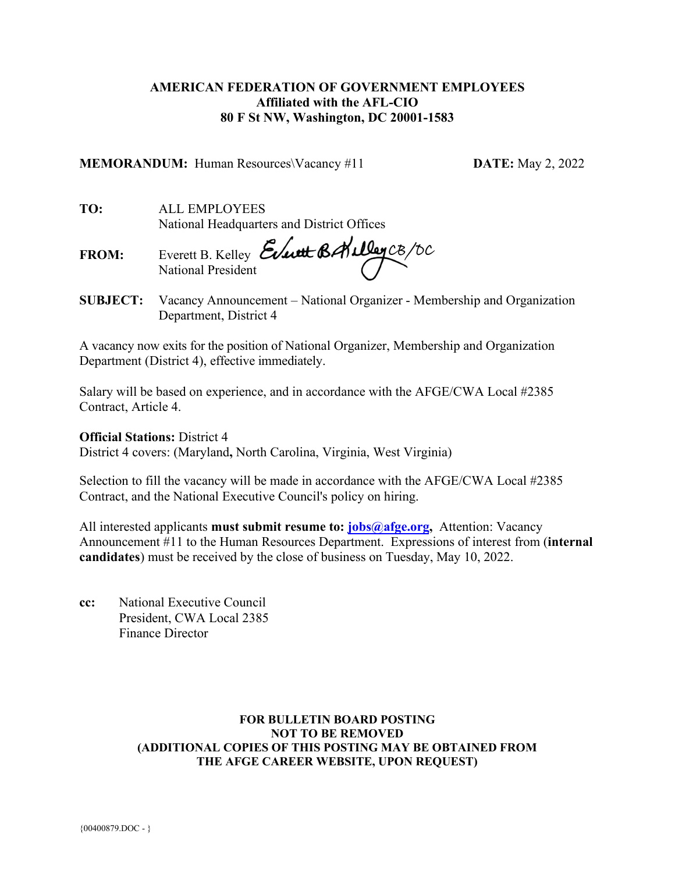# **AMERICAN FEDERATION OF GOVERNMENT EMPLOYEES Affiliated with the AFL-CIO 80 F St NW, Washington, DC 20001-1583**

**MEMORANDUM:** Human Resources\Vacancy #11 **DATE:** May 2, 2022

**TO:** ALL EMPLOYEES National Headquarters and District Offices

**FROM:** Everett B. Kelley National President

**SUBJECT:** Vacancy Announcement – National Organizer - Membership and Organization Department, District 4

A vacancy now exits for the position of National Organizer, Membership and Organization Department (District 4), effective immediately.

Salary will be based on experience, and in accordance with the AFGE/CWA Local #2385 Contract, Article 4.

## **Official Stations:** District 4

District 4 covers: (Maryland**,** North Carolina, Virginia, West Virginia)

Selection to fill the vacancy will be made in accordance with the AFGE/CWA Local #2385 Contract, and the National Executive Council's policy on hiring.

All interested applicants **must submit resume to: [jobs@afge.org,](mailto:jobs@afge.org)** Attention: Vacancy Announcement #11 to the Human Resources Department. Expressions of interest from (**internal candidates**) must be received by the close of business on Tuesday, May 10, 2022.

**cc:** National Executive Council President, CWA Local 2385 Finance Director

### **FOR BULLETIN BOARD POSTING NOT TO BE REMOVED (ADDITIONAL COPIES OF THIS POSTING MAY BE OBTAINED FROM THE AFGE CAREER WEBSITE, UPON REQUEST)**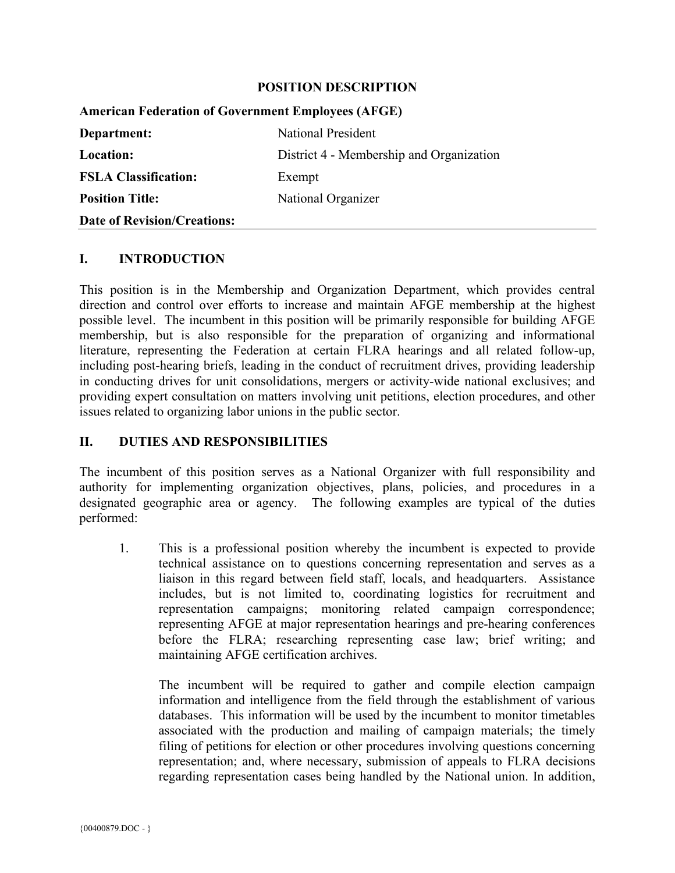### **POSITION DESCRIPTION**

| <b>American Federation of Government Employees (AFGE)</b> |                                          |
|-----------------------------------------------------------|------------------------------------------|
| Department:                                               | <b>National President</b>                |
| <b>Location:</b>                                          | District 4 - Membership and Organization |
| <b>FSLA Classification:</b>                               | Exempt                                   |
| <b>Position Title:</b>                                    | National Organizer                       |
| <b>Date of Revision/Creations:</b>                        |                                          |

#### **I. INTRODUCTION**

This position is in the Membership and Organization Department, which provides central direction and control over efforts to increase and maintain AFGE membership at the highest possible level. The incumbent in this position will be primarily responsible for building AFGE membership, but is also responsible for the preparation of organizing and informational literature, representing the Federation at certain FLRA hearings and all related follow-up, including post-hearing briefs, leading in the conduct of recruitment drives, providing leadership in conducting drives for unit consolidations, mergers or activity-wide national exclusives; and providing expert consultation on matters involving unit petitions, election procedures, and other issues related to organizing labor unions in the public sector.

## **II. DUTIES AND RESPONSIBILITIES**

The incumbent of this position serves as a National Organizer with full responsibility and authority for implementing organization objectives, plans, policies, and procedures in a designated geographic area or agency. The following examples are typical of the duties performed:

1. This is a professional position whereby the incumbent is expected to provide technical assistance on to questions concerning representation and serves as a liaison in this regard between field staff, locals, and headquarters. Assistance includes, but is not limited to, coordinating logistics for recruitment and representation campaigns; monitoring related campaign correspondence; representing AFGE at major representation hearings and pre-hearing conferences before the FLRA; researching representing case law; brief writing; and maintaining AFGE certification archives.

The incumbent will be required to gather and compile election campaign information and intelligence from the field through the establishment of various databases. This information will be used by the incumbent to monitor timetables associated with the production and mailing of campaign materials; the timely filing of petitions for election or other procedures involving questions concerning representation; and, where necessary, submission of appeals to FLRA decisions regarding representation cases being handled by the National union. In addition,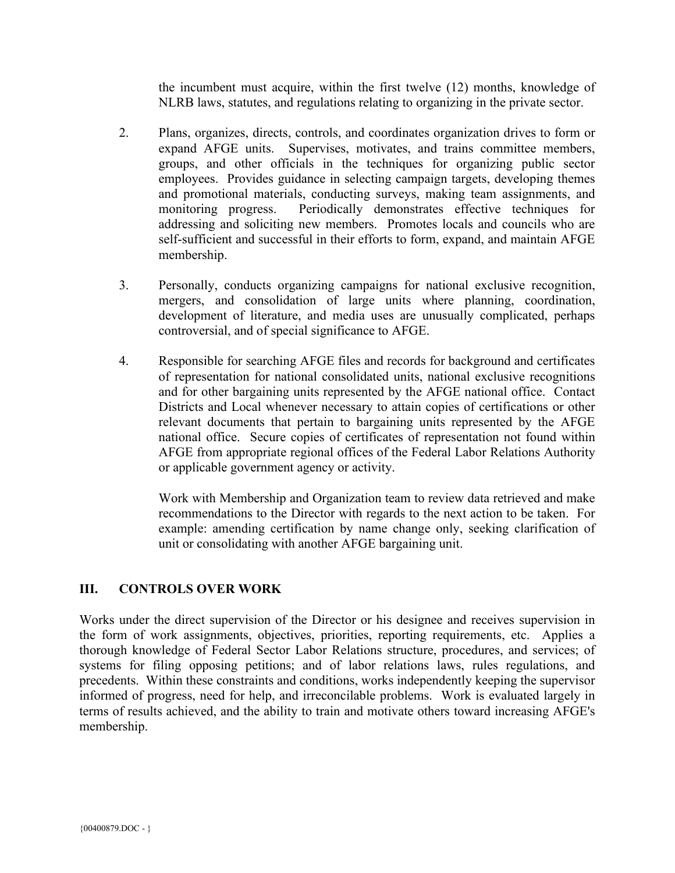the incumbent must acquire, within the first twelve (12) months, knowledge of NLRB laws, statutes, and regulations relating to organizing in the private sector.

- 2. Plans, organizes, directs, controls, and coordinates organization drives to form or expand AFGE units. Supervises, motivates, and trains committee members, groups, and other officials in the techniques for organizing public sector employees. Provides guidance in selecting campaign targets, developing themes and promotional materials, conducting surveys, making team assignments, and monitoring progress. Periodically demonstrates effective techniques for addressing and soliciting new members. Promotes locals and councils who are self-sufficient and successful in their efforts to form, expand, and maintain AFGE membership.
- 3. Personally, conducts organizing campaigns for national exclusive recognition, mergers, and consolidation of large units where planning, coordination, development of literature, and media uses are unusually complicated, perhaps controversial, and of special significance to AFGE.
- 4. Responsible for searching AFGE files and records for background and certificates of representation for national consolidated units, national exclusive recognitions and for other bargaining units represented by the AFGE national office. Contact Districts and Local whenever necessary to attain copies of certifications or other relevant documents that pertain to bargaining units represented by the AFGE national office. Secure copies of certificates of representation not found within AFGE from appropriate regional offices of the Federal Labor Relations Authority or applicable government agency or activity.

Work with Membership and Organization team to review data retrieved and make recommendations to the Director with regards to the next action to be taken. For example: amending certification by name change only, seeking clarification of unit or consolidating with another AFGE bargaining unit.

# **III. CONTROLS OVER WORK**

Works under the direct supervision of the Director or his designee and receives supervision in the form of work assignments, objectives, priorities, reporting requirements, etc. Applies a thorough knowledge of Federal Sector Labor Relations structure, procedures, and services; of systems for filing opposing petitions; and of labor relations laws, rules regulations, and precedents. Within these constraints and conditions, works independently keeping the supervisor informed of progress, need for help, and irreconcilable problems. Work is evaluated largely in terms of results achieved, and the ability to train and motivate others toward increasing AFGE's membership.